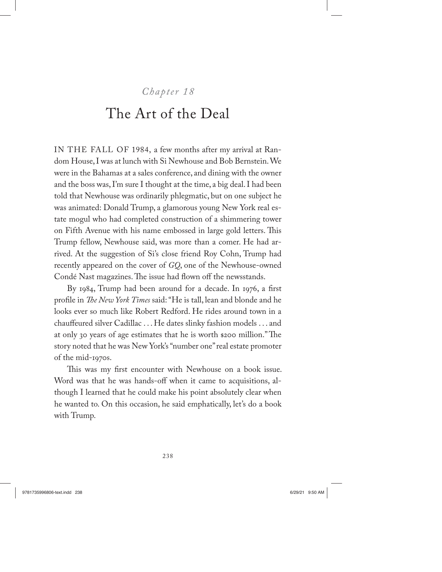## *Chapter 18*

## The Art of the Deal

IN THE FALL OF 1984, a few months after my arrival at Random House, I was at lunch with Si Newhouse and Bob Bernstein. We were in the Bahamas at a sales conference, and dining with the owner and the boss was, I'm sure I thought at the time, a big deal. I had been told that Newhouse was ordinarily phlegmatic, but on one subject he was animated: Donald Trump, a glamorous young New York real estate mogul who had completed construction of a shimmering tower on Fifth Avenue with his name embossed in large gold letters. This Trump fellow, Newhouse said, was more than a comer. He had arrived. At the suggestion of Si's close friend Roy Cohn, Trump had recently appeared on the cover of *GQ*, one of the Newhouse-owned Condé Nast magazines. The issue had flown off the newsstands.

By 1984, Trump had been around for a decade. In 1976, a first profile in *The New York Times* said: "He is tall, lean and blonde and he looks ever so much like Robert Redford. He rides around town in a chauffeured silver Cadillac . . . He dates slinky fashion models . . . and at only 30 years of age estimates that he is worth \$200 million." The story noted that he was New York's "number one" real estate promoter of the mid-1970s.

This was my first encounter with Newhouse on a book issue. Word was that he was hands-off when it came to acquisitions, although I learned that he could make his point absolutely clear when he wanted to. On this occasion, he said emphatically, let's do a book with Trump.

238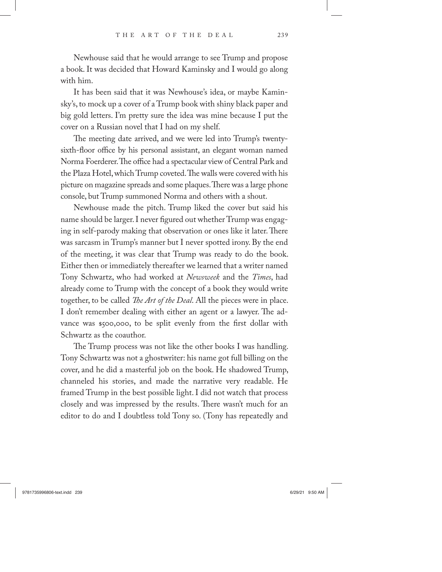Newhouse said that he would arrange to see Trump and propose a book. It was decided that Howard Kaminsky and I would go along with him.

It has been said that it was Newhouse's idea, or maybe Kaminsky's, to mock up a cover of a Trump book with shiny black paper and big gold letters. I'm pretty sure the idea was mine because I put the cover on a Russian novel that I had on my shelf.

The meeting date arrived, and we were led into Trump's twentysixth-floor office by his personal assistant, an elegant woman named Norma Foerderer. The office had a spectacular view of Central Park and the Plaza Hotel, which Trump coveted. The walls were covered with his picture on magazine spreads and some plaques. There was a large phone console, but Trump summoned Norma and others with a shout.

Newhouse made the pitch. Trump liked the cover but said his name should be larger. I never figured out whether Trump was engaging in self-parody making that observation or ones like it later. There was sarcasm in Trump's manner but I never spotted irony. By the end of the meeting, it was clear that Trump was ready to do the book. Either then or immediately thereafter we learned that a writer named Tony Schwartz, who had worked at *Newsweek* and the *Times*, had already come to Trump with the concept of a book they would write together, to be called *The Art of the Deal*. All the pieces were in place. I don't remember dealing with either an agent or a lawyer. The advance was \$500,000, to be split evenly from the first dollar with Schwartz as the coauthor.

The Trump process was not like the other books I was handling. Tony Schwartz was not a ghostwriter: his name got full billing on the cover, and he did a masterful job on the book. He shadowed Trump, channeled his stories, and made the narrative very readable. He framed Trump in the best possible light. I did not watch that process closely and was impressed by the results. There wasn't much for an editor to do and I doubtless told Tony so. (Tony has repeatedly and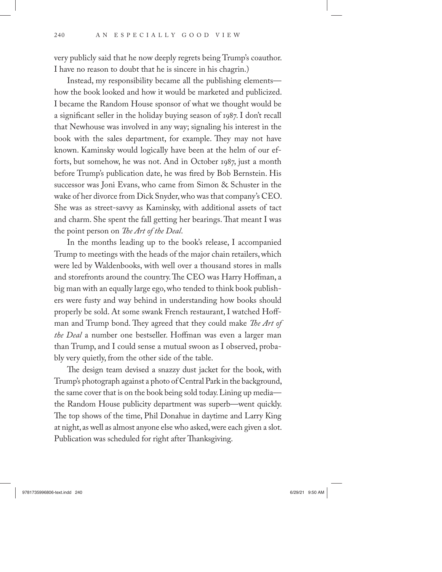very publicly said that he now deeply regrets being Trump's coauthor. I have no reason to doubt that he is sincere in his chagrin.)

Instead, my responsibility became all the publishing elements how the book looked and how it would be marketed and publicized. I became the Random House sponsor of what we thought would be a significant seller in the holiday buying season of 1987. I don't recall that Newhouse was involved in any way; signaling his interest in the book with the sales department, for example. They may not have known. Kaminsky would logically have been at the helm of our efforts, but somehow, he was not. And in October 1987, just a month before Trump's publication date, he was fired by Bob Bernstein. His successor was Joni Evans, who came from Simon & Schuster in the wake of her divorce from Dick Snyder, who was that company's CEO. She was as street-savvy as Kaminsky, with additional assets of tact and charm. She spent the fall getting her bearings. That meant I was the point person on *The Art of the Deal*.

In the months leading up to the book's release, I accompanied Trump to meetings with the heads of the major chain retailers, which were led by Waldenbooks, with well over a thousand stores in malls and storefronts around the country. The CEO was Harry Hoffman, a big man with an equally large ego, who tended to think book publishers were fusty and way behind in understanding how books should properly be sold. At some swank French restaurant, I watched Hoffman and Trump bond. They agreed that they could make *The Art of the Deal* a number one bestseller. Hoffman was even a larger man than Trump, and I could sense a mutual swoon as I observed, probably very quietly, from the other side of the table.

The design team devised a snazzy dust jacket for the book, with Trump's photograph against a photo of Central Park in the background, the same cover that is on the book being sold today. Lining up media the Random House publicity department was superb—went quickly. The top shows of the time, Phil Donahue in daytime and Larry King at night, as well as almost anyone else who asked, were each given a slot. Publication was scheduled for right after Thanksgiving.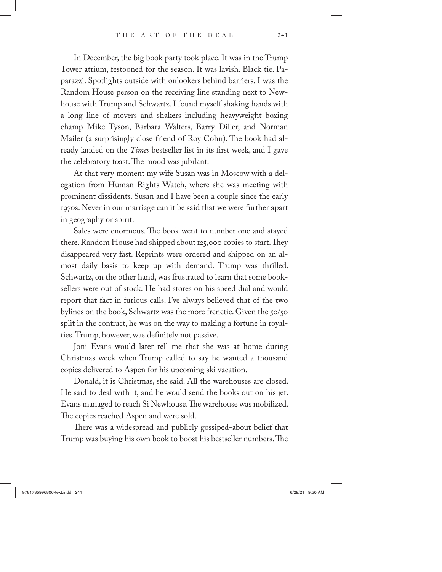In December, the big book party took place. It was in the Trump Tower atrium, festooned for the season. It was lavish. Black tie. Paparazzi. Spotlights outside with onlookers behind barriers. I was the Random House person on the receiving line standing next to Newhouse with Trump and Schwartz. I found myself shaking hands with a long line of movers and shakers including heavyweight boxing champ Mike Tyson, Barbara Walters, Barry Diller, and Norman Mailer (a surprisingly close friend of Roy Cohn). The book had already landed on the *Times* bestseller list in its first week, and I gave the celebratory toast. The mood was jubilant.

At that very moment my wife Susan was in Moscow with a delegation from Human Rights Watch, where she was meeting with prominent dissidents. Susan and I have been a couple since the early 1970s. Never in our marriage can it be said that we were further apart in geography or spirit.

Sales were enormous. The book went to number one and stayed there. Random House had shipped about 125,000 copies to start. They disappeared very fast. Reprints were ordered and shipped on an almost daily basis to keep up with demand. Trump was thrilled. Schwartz, on the other hand, was frustrated to learn that some booksellers were out of stock. He had stores on his speed dial and would report that fact in furious calls. I've always believed that of the two bylines on the book, Schwartz was the more frenetic. Given the 50/50 split in the contract, he was on the way to making a fortune in royalties. Trump, however, was definitely not passive.

Joni Evans would later tell me that she was at home during Christmas week when Trump called to say he wanted a thousand copies delivered to Aspen for his upcoming ski vacation.

Donald, it is Christmas, she said. All the warehouses are closed. He said to deal with it, and he would send the books out on his jet. Evans managed to reach Si Newhouse. The warehouse was mobilized. The copies reached Aspen and were sold.

There was a widespread and publicly gossiped-about belief that Trump was buying his own book to boost his bestseller numbers. The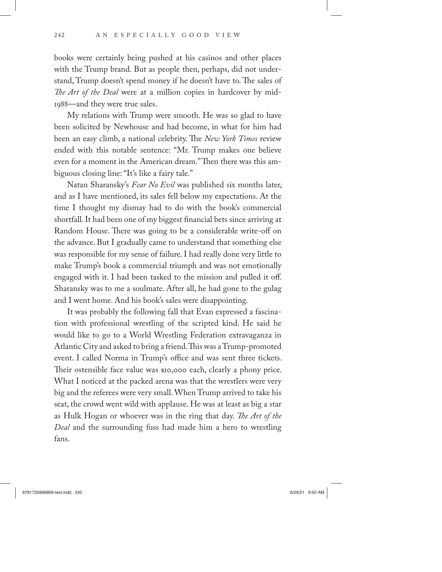books were certainly being pushed at his casinos and other places with the Trump brand. But as people then, perhaps, did not understand, Trump doesn't spend money if he doesn't have to. The sales of *The Art of the Deal* were at a million copies in hardcover by mid-1988—and they were true sales.

My relations with Trump were smooth. He was so glad to have been solicited by Newhouse and had become, in what for him had been an easy climb, a national celebrity. The *New York Times* review ended with this notable sentence: "Mr. Trump makes one believe even for a moment in the American dream." Then there was this ambiguous closing line: "It's like a fairy tale."

Natan Sharansky's *Fear No Evil* was published six months later, and as I have mentioned, its sales fell below my expectations. At the time I thought my dismay had to do with the book's commercial shortfall. It had been one of my biggest financial bets since arriving at Random House. There was going to be a considerable write-off on the advance. But I gradually came to understand that something else was responsible for my sense of failure. I had really done very little to make Trump's book a commercial triumph and was not emotionally engaged with it. I had been tasked to the mission and pulled it off. Sharansky was to me a soulmate. After all, he had gone to the gulag and I went home. And his book's sales were disappointing.

It was probably the following fall that Evan expressed a fascination with professional wrestling of the scripted kind. He said he would like to go to a World Wrestling Federation extravaganza in Atlantic City and asked to bring a friend. This was a Trump- promoted event. I called Norma in Trump's office and was sent three tickets. Their ostensible face value was \$10,000 each, clearly a phony price. What I noticed at the packed arena was that the wrestlers were very big and the referees were very small. When Trump arrived to take his seat, the crowd went wild with applause. He was at least as big a star as Hulk Hogan or whoever was in the ring that day. *The Art of the Deal* and the surrounding fuss had made him a hero to wrestling fans.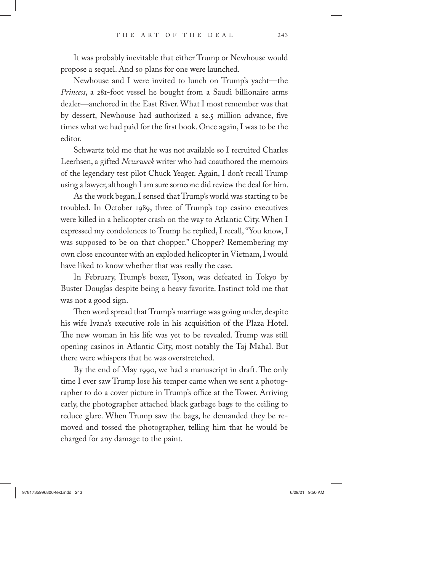It was probably inevitable that either Trump or Newhouse would propose a sequel. And so plans for one were launched.

Newhouse and I were invited to lunch on Trump's yacht—the *Princess*, a 281-foot vessel he bought from a Saudi billionaire arms dealer—anchored in the East River. What I most remember was that by dessert, Newhouse had authorized a \$2.5 million advance, five times what we had paid for the first book. Once again, I was to be the editor.

Schwartz told me that he was not available so I recruited Charles Leerhsen, a gifted *Newsweek* writer who had coauthored the memoirs of the legendary test pilot Chuck Yeager. Again, I don't recall Trump using a lawyer, although I am sure someone did review the deal for him.

As the work began, I sensed that Trump's world was starting to be troubled. In October 1989, three of Trump's top casino executives were killed in a helicopter crash on the way to Atlantic City. When I expressed my condolences to Trump he replied, I recall, "You know, I was supposed to be on that chopper." Chopper? Remembering my own close encounter with an exploded helicopter in Vietnam, I would have liked to know whether that was really the case.

In February, Trump's boxer, Tyson, was defeated in Tokyo by Buster Douglas despite being a heavy favorite. Instinct told me that was not a good sign.

Then word spread that Trump's marriage was going under, despite his wife Ivana's executive role in his acquisition of the Plaza Hotel. The new woman in his life was yet to be revealed. Trump was still opening casinos in Atlantic City, most notably the Taj Mahal. But there were whispers that he was overstretched.

By the end of May 1990, we had a manuscript in draft. The only time I ever saw Trump lose his temper came when we sent a photographer to do a cover picture in Trump's office at the Tower. Arriving early, the photographer attached black garbage bags to the ceiling to reduce glare. When Trump saw the bags, he demanded they be removed and tossed the photographer, telling him that he would be charged for any damage to the paint.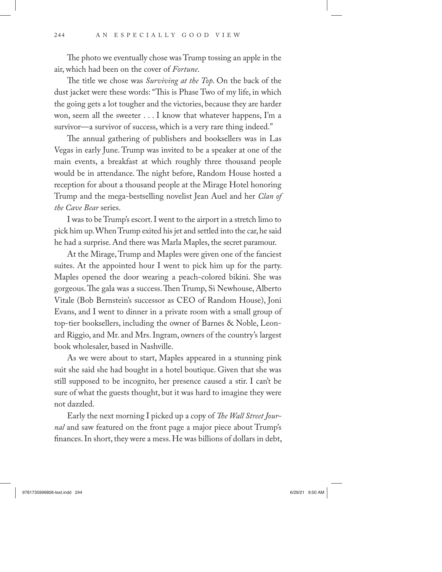The photo we eventually chose was Trump tossing an apple in the air, which had been on the cover of *Fortune*.

The title we chose was *Surviving at the Top*. On the back of the dust jacket were these words: "This is Phase Two of my life, in which the going gets a lot tougher and the victories, because they are harder won, seem all the sweeter . . . I know that whatever happens, I'm a survivor—a survivor of success, which is a very rare thing indeed."

The annual gathering of publishers and booksellers was in Las Vegas in early June. Trump was invited to be a speaker at one of the main events, a breakfast at which roughly three thousand people would be in attendance. The night before, Random House hosted a reception for about a thousand people at the Mirage Hotel honoring Trump and the mega-bestselling novelist Jean Auel and her *Clan of the Cave Bear* series.

I was to be Trump's escort. I went to the airport in a stretch limo to pick him up. When Trump exited his jet and settled into the car, he said he had a surprise. And there was Marla Maples, the secret paramour.

At the Mirage, Trump and Maples were given one of the fanciest suites. At the appointed hour I went to pick him up for the party. Maples opened the door wearing a peach-colored bikini. She was gorgeous. The gala was a success. Then Trump, Si Newhouse, Alberto Vitale (Bob Bernstein's successor as CEO of Random House), Joni Evans, and I went to dinner in a private room with a small group of top-tier booksellers, including the owner of Barnes & Noble, Leonard Riggio, and Mr. and Mrs. Ingram, owners of the country's largest book wholesaler, based in Nashville.

As we were about to start, Maples appeared in a stunning pink suit she said she had bought in a hotel boutique. Given that she was still supposed to be incognito, her presence caused a stir. I can't be sure of what the guests thought, but it was hard to imagine they were not dazzled.

Early the next morning I picked up a copy of *The Wall Street Journal* and saw featured on the front page a major piece about Trump's finances. In short, they were a mess. He was billions of dollars in debt,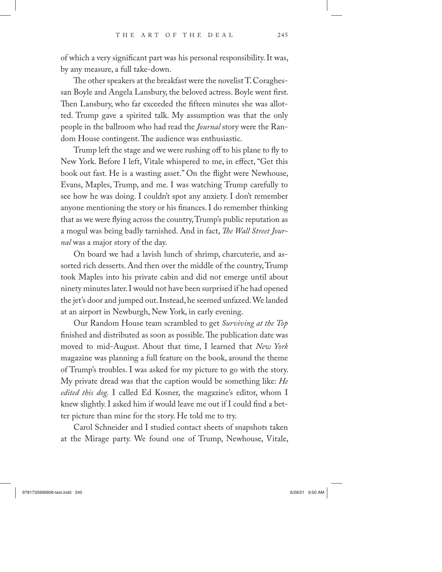of which a very significant part was his personal responsibility. It was, by any measure, a full take-down.

The other speakers at the breakfast were the novelist T. Coraghessan Boyle and Angela Lansbury, the beloved actress. Boyle went first. Then Lansbury, who far exceeded the fifteen minutes she was allotted. Trump gave a spirited talk. My assumption was that the only people in the ballroom who had read the *Journal* story were the Random House contingent. The audience was enthusiastic.

Trump left the stage and we were rushing off to his plane to fly to New York. Before I left, Vitale whispered to me, in effect, "Get this book out fast. He is a wasting asset." On the flight were Newhouse, Evans, Maples, Trump, and me. I was watching Trump carefully to see how he was doing. I couldn't spot any anxiety. I don't remember anyone mentioning the story or his finances. I do remember thinking that as we were flying across the country, Trump's public reputation as a mogul was being badly tarnished. And in fact, *The Wall Street Journal* was a major story of the day.

On board we had a lavish lunch of shrimp, charcuterie, and assorted rich desserts. And then over the middle of the country, Trump took Maples into his private cabin and did not emerge until about ninety minutes later. I would not have been surprised if he had opened the jet's door and jumped out. Instead, he seemed unfazed. We landed at an airport in Newburgh, New York, in early evening.

Our Random House team scrambled to get *Surviving at the Top* finished and distributed as soon as possible. The publication date was moved to mid-August. About that time, I learned that *New York* magazine was planning a full feature on the book, around the theme of Trump's troubles. I was asked for my picture to go with the story. My private dread was that the caption would be something like: *He edited this dog.* I called Ed Kosner, the magazine's editor, whom I knew slightly. I asked him if would leave me out if I could find a better picture than mine for the story. He told me to try.

Carol Schneider and I studied contact sheets of snapshots taken at the Mirage party. We found one of Trump, Newhouse, Vitale,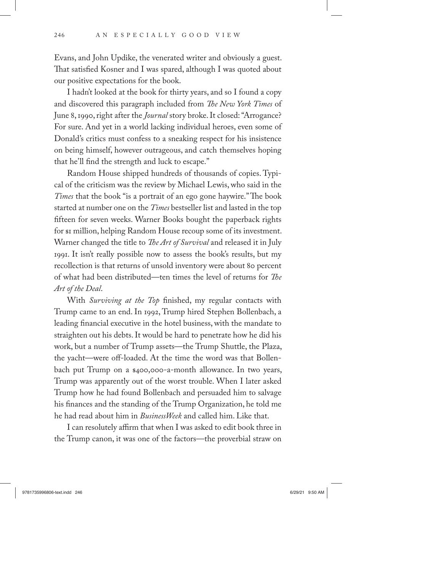Evans, and John Updike, the venerated writer and obviously a guest. That satisfied Kosner and I was spared, although I was quoted about our positive expectations for the book.

I hadn't looked at the book for thirty years, and so I found a copy and discovered this paragraph included from *The New York Times* of June 8, 1990, right after the *Journal* story broke. It closed: "Arrogance? For sure. And yet in a world lacking individual heroes, even some of Donald's critics must confess to a sneaking respect for his insistence on being himself, however outrageous, and catch themselves hoping that he'll find the strength and luck to escape."

Random House shipped hundreds of thousands of copies. Typical of the criticism was the review by Michael Lewis, who said in the *Times* that the book "is a portrait of an ego gone haywire." The book started at number one on the *Times* bestseller list and lasted in the top fifteen for seven weeks. Warner Books bought the paperback rights for si million, helping Random House recoup some of its investment. Warner changed the title to *The Art of Survival* and released it in July 1991. It isn't really possible now to assess the book's results, but my recollection is that returns of unsold inventory were about 80 percent of what had been distributed—ten times the level of returns for *The Art of the Deal*.

With *Surviving at the Top* finished, my regular contacts with Trump came to an end. In 1992, Trump hired Stephen Bollenbach, a leading financial executive in the hotel business, with the mandate to straighten out his debts. It would be hard to penetrate how he did his work, but a number of Trump assets—the Trump Shuttle, the Plaza, the yacht—were off-loaded. At the time the word was that Bollenbach put Trump on a \$400,000-a-month allowance. In two years, Trump was apparently out of the worst trouble. When I later asked Trump how he had found Bollenbach and persuaded him to salvage his finances and the standing of the Trump Organization, he told me he had read about him in *BusinessWeek* and called him. Like that.

I can resolutely affirm that when I was asked to edit book three in the Trump canon, it was one of the factors—the proverbial straw on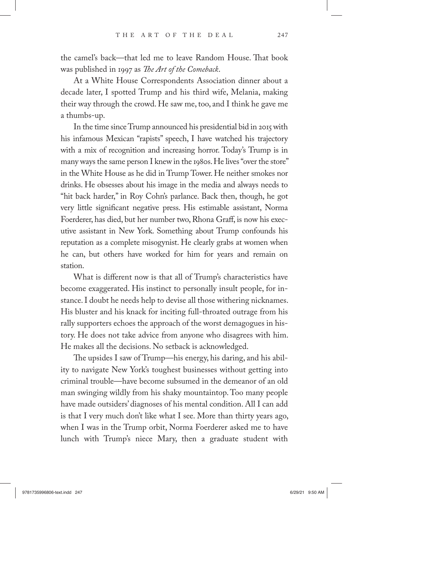the camel's back—that led me to leave Random House. That book was published in 1997 as *The Art of the Comeback*.

At a White House Correspondents Association dinner about a decade later, I spotted Trump and his third wife, Melania, making their way through the crowd. He saw me, too, and I think he gave me a thumbs-up.

In the time since Trump announced his presidential bid in 2015 with his infamous Mexican "rapists" speech, I have watched his trajectory with a mix of recognition and increasing horror. Today's Trump is in many ways the same person I knew in the 1980s. He lives "over the store" in the White House as he did in Trump Tower. He neither smokes nor drinks. He obsesses about his image in the media and always needs to "hit back harder," in Roy Cohn's parlance. Back then, though, he got very little significant negative press. His estimable assistant, Norma Foerderer, has died, but her number two, Rhona Graff, is now his executive assistant in New York. Something about Trump confounds his reputation as a complete misogynist. He clearly grabs at women when he can, but others have worked for him for years and remain on station.

What is different now is that all of Trump's characteristics have become exaggerated. His instinct to personally insult people, for instance. I doubt he needs help to devise all those withering nicknames. His bluster and his knack for inciting full-throated outrage from his rally supporters echoes the approach of the worst demagogues in history. He does not take advice from anyone who disagrees with him. He makes all the decisions. No setback is acknowledged.

The upsides I saw of Trump—his energy, his daring, and his ability to navigate New York's toughest businesses without getting into criminal trouble—have become subsumed in the demeanor of an old man swinging wildly from his shaky mountaintop. Too many people have made outsiders' diagnoses of his mental condition. All I can add is that I very much don't like what I see. More than thirty years ago, when I was in the Trump orbit, Norma Foerderer asked me to have lunch with Trump's niece Mary, then a graduate student with